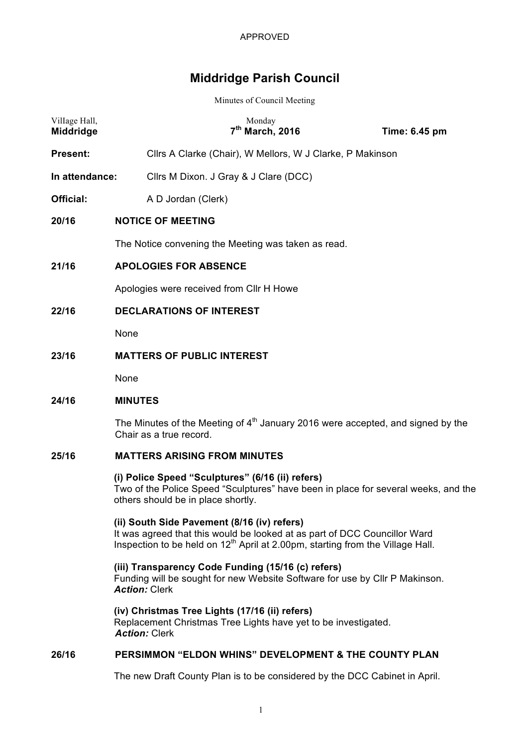# **Middridge Parish Council**

Minutes of Council Meeting

| Village Hall,<br>Middridge | Monday<br>7 <sup>th</sup> March, 2016                                                                                                                                                                                  |  | Time: 6.45 pm |  |  |
|----------------------------|------------------------------------------------------------------------------------------------------------------------------------------------------------------------------------------------------------------------|--|---------------|--|--|
| <b>Present:</b>            | Cllrs A Clarke (Chair), W Mellors, W J Clarke, P Makinson                                                                                                                                                              |  |               |  |  |
| In attendance:             | Cllrs M Dixon. J Gray & J Clare (DCC)                                                                                                                                                                                  |  |               |  |  |
| Official:                  | A D Jordan (Clerk)                                                                                                                                                                                                     |  |               |  |  |
| 20/16                      | <b>NOTICE OF MEETING</b>                                                                                                                                                                                               |  |               |  |  |
|                            | The Notice convening the Meeting was taken as read.                                                                                                                                                                    |  |               |  |  |
| 21/16                      | <b>APOLOGIES FOR ABSENCE</b>                                                                                                                                                                                           |  |               |  |  |
|                            | Apologies were received from CIIr H Howe                                                                                                                                                                               |  |               |  |  |
| 22/16                      | <b>DECLARATIONS OF INTEREST</b>                                                                                                                                                                                        |  |               |  |  |
|                            | None                                                                                                                                                                                                                   |  |               |  |  |
| 23/16                      | <b>MATTERS OF PUBLIC INTEREST</b>                                                                                                                                                                                      |  |               |  |  |
|                            | None                                                                                                                                                                                                                   |  |               |  |  |
| 24/16                      | <b>MINUTES</b>                                                                                                                                                                                                         |  |               |  |  |
|                            | The Minutes of the Meeting of $4th$ January 2016 were accepted, and signed by the<br>Chair as a true record.                                                                                                           |  |               |  |  |
| 25/16                      | <b>MATTERS ARISING FROM MINUTES</b>                                                                                                                                                                                    |  |               |  |  |
|                            | (i) Police Speed "Sculptures" (6/16 (ii) refers)<br>Two of the Police Speed "Sculptures" have been in place for several weeks, and the<br>others should be in place shortly.                                           |  |               |  |  |
|                            | (ii) South Side Pavement (8/16 (iv) refers)<br>It was agreed that this would be looked at as part of DCC Councillor Ward<br>Inspection to be held on 12 <sup>th</sup> April at 2.00pm, starting from the Village Hall. |  |               |  |  |
|                            | (iii) Transparency Code Funding (15/16 (c) refers)<br>Funding will be sought for new Website Software for use by Cllr P Makinson.<br><b>Action: Clerk</b>                                                              |  |               |  |  |
|                            | (iv) Christmas Tree Lights (17/16 (ii) refers)<br>Replacement Christmas Tree Lights have yet to be investigated.<br><b>Action: Clerk</b>                                                                               |  |               |  |  |
| 26/16                      | PERSIMMON "ELDON WHINS" DEVELOPMENT & THE COUNTY PLAN                                                                                                                                                                  |  |               |  |  |
|                            | The new Draft County Plan is to be considered by the DCC Cabinet in April.                                                                                                                                             |  |               |  |  |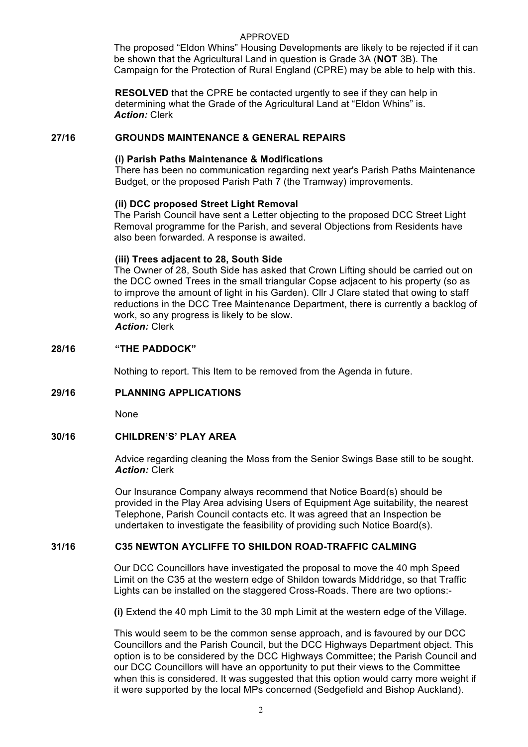## APPROVED

The proposed "Eldon Whins" Housing Developments are likely to be rejected if it can be shown that the Agricultural Land in question is Grade 3A (**NOT** 3B). The Campaign for the Protection of Rural England (CPRE) may be able to help with this.

**RESOLVED** that the CPRE be contacted urgently to see if they can help in determining what the Grade of the Agricultural Land at "Eldon Whins" is. *Action:* Clerk

## **27/16 GROUNDS MAINTENANCE & GENERAL REPAIRS**

## **(i) Parish Paths Maintenance & Modifications**

There has been no communication regarding next year's Parish Paths Maintenance Budget, or the proposed Parish Path 7 (the Tramway) improvements.

## **(ii) DCC proposed Street Light Removal**

The Parish Council have sent a Letter objecting to the proposed DCC Street Light Removal programme for the Parish, and several Objections from Residents have also been forwarded. A response is awaited.

## **(iii) Trees adjacent to 28, South Side**

The Owner of 28, South Side has asked that Crown Lifting should be carried out on the DCC owned Trees in the small triangular Copse adjacent to his property (so as to improve the amount of light in his Garden). Cllr J Clare stated that owing to staff reductions in the DCC Tree Maintenance Department, there is currently a backlog of work, so any progress is likely to be slow. *Action:* Clerk

## **28/16 "THE PADDOCK"**

Nothing to report. This Item to be removed from the Agenda in future.

## **29/16 PLANNING APPLICATIONS**

None

## **30/16 CHILDREN'S' PLAY AREA**

Advice regarding cleaning the Moss from the Senior Swings Base still to be sought. *Action:* Clerk

Our Insurance Company always recommend that Notice Board(s) should be provided in the Play Area advising Users of Equipment Age suitability, the nearest Telephone, Parish Council contacts etc. It was agreed that an Inspection be undertaken to investigate the feasibility of providing such Notice Board(s).

## **31/16 C35 NEWTON AYCLIFFE TO SHILDON ROAD-TRAFFIC CALMING**

Our DCC Councillors have investigated the proposal to move the 40 mph Speed Limit on the C35 at the western edge of Shildon towards Middridge, so that Traffic Lights can be installed on the staggered Cross-Roads. There are two options:-

**(i)** Extend the 40 mph Limit to the 30 mph Limit at the western edge of the Village.

This would seem to be the common sense approach, and is favoured by our DCC Councillors and the Parish Council, but the DCC Highways Department object. This option is to be considered by the DCC Highways Committee; the Parish Council and our DCC Councillors will have an opportunity to put their views to the Committee when this is considered. It was suggested that this option would carry more weight if it were supported by the local MPs concerned (Sedgefield and Bishop Auckland).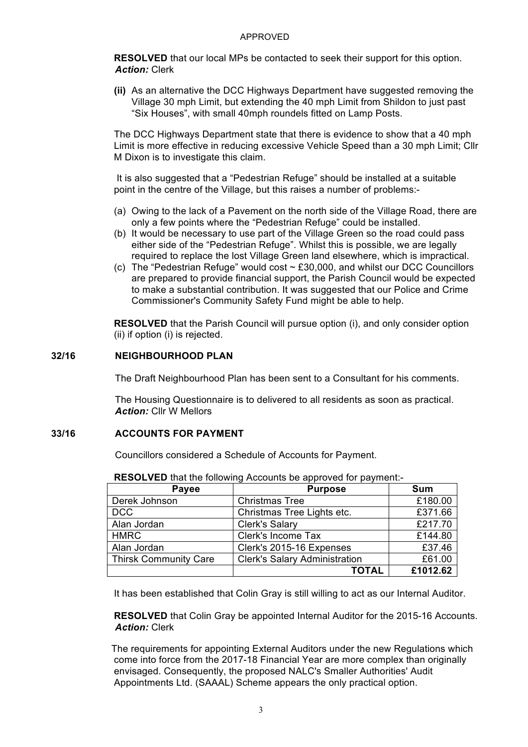#### APPROVED

**RESOLVED** that our local MPs be contacted to seek their support for this option. *Action:* Clerk

**(ii)** As an alternative the DCC Highways Department have suggested removing the Village 30 mph Limit, but extending the 40 mph Limit from Shildon to just past "Six Houses", with small 40mph roundels fitted on Lamp Posts.

The DCC Highways Department state that there is evidence to show that a 40 mph Limit is more effective in reducing excessive Vehicle Speed than a 30 mph Limit; Cllr M Dixon is to investigate this claim.

It is also suggested that a "Pedestrian Refuge" should be installed at a suitable point in the centre of the Village, but this raises a number of problems:-

- (a) Owing to the lack of a Pavement on the north side of the Village Road, there are only a few points where the "Pedestrian Refuge" could be installed.
- (b) It would be necessary to use part of the Village Green so the road could pass either side of the "Pedestrian Refuge". Whilst this is possible, we are legally required to replace the lost Village Green land elsewhere, which is impractical.
- (c) The "Pedestrian Refuge" would cost ~ £30,000, and whilst our DCC Councillors are prepared to provide financial support, the Parish Council would be expected to make a substantial contribution. It was suggested that our Police and Crime Commissioner's Community Safety Fund might be able to help.

**RESOLVED** that the Parish Council will pursue option (i), and only consider option (ii) if option (i) is rejected.

## **32/16 NEIGHBOURHOOD PLAN**

The Draft Neighbourhood Plan has been sent to a Consultant for his comments.

The Housing Questionnaire is to delivered to all residents as soon as practical. *Action:* Cllr W Mellors

## **33/16 ACCOUNTS FOR PAYMENT**

Councillors considered a Schedule of Accounts for Payment.

| Payee                        | <b>Purpose</b>                       | <b>Sum</b> |
|------------------------------|--------------------------------------|------------|
| Derek Johnson                | <b>Christmas Tree</b>                | £180.00    |
| <b>DCC</b>                   | Christmas Tree Lights etc.           | £371.66    |
| Alan Jordan                  | <b>Clerk's Salary</b>                | £217.70    |
| <b>HMRC</b>                  | Clerk's Income Tax                   | £144.80    |
| Alan Jordan                  | Clerk's 2015-16 Expenses             | £37.46     |
| <b>Thirsk Community Care</b> | <b>Clerk's Salary Administration</b> | £61.00     |
|                              | TOTAL                                | £1012.62   |

**RESOLVED** that the following Accounts be approved for payment:-

It has been established that Colin Gray is still willing to act as our Internal Auditor.

**RESOLVED** that Colin Gray be appointed Internal Auditor for the 2015-16 Accounts. *Action:* Clerk

The requirements for appointing External Auditors under the new Regulations which come into force from the 2017-18 Financial Year are more complex than originally envisaged. Consequently, the proposed NALC's Smaller Authorities' Audit Appointments Ltd. (SAAAL) Scheme appears the only practical option.